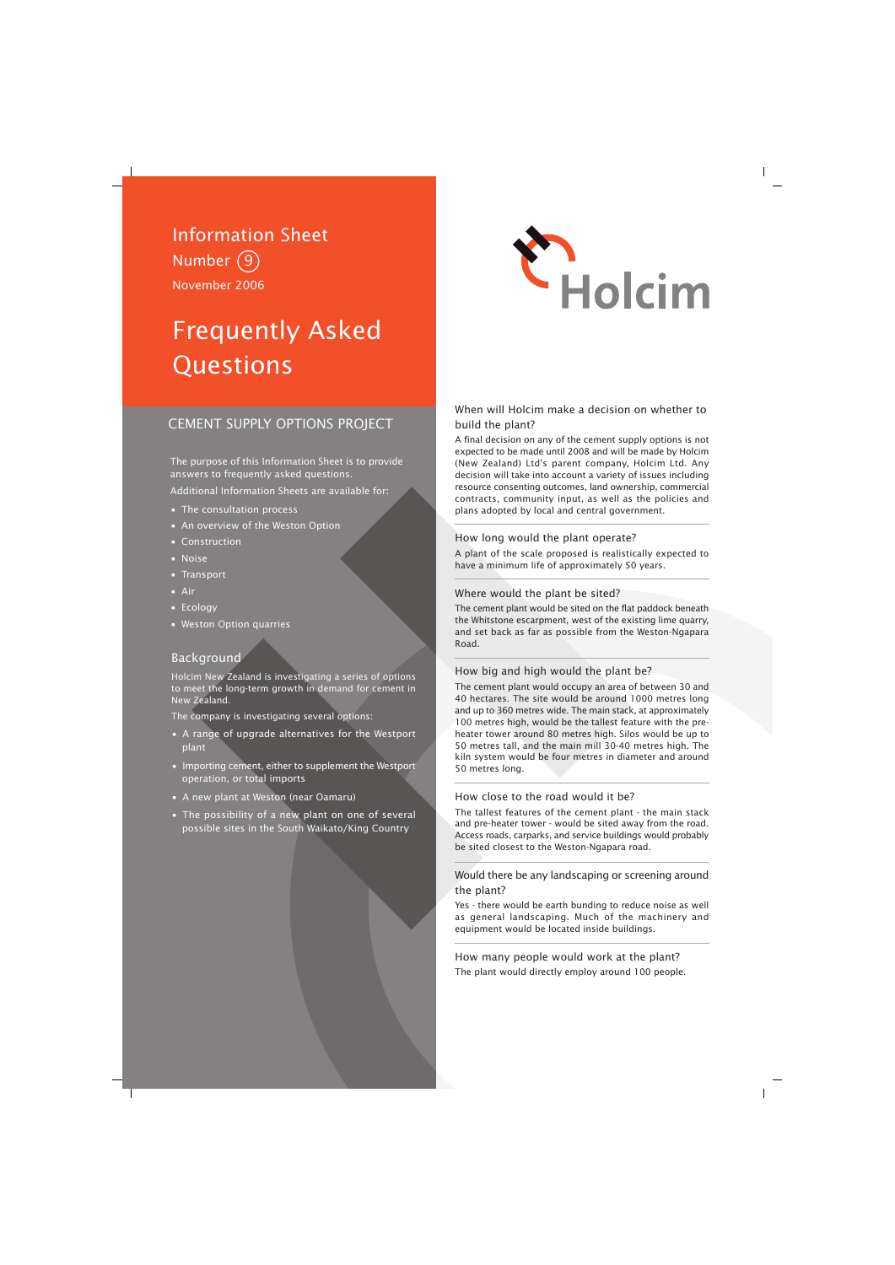# Information Sheet Number 9 November 2006

# Frequently Asked **Questions**

# CEMENT SUPPLY OPTIONS PROJECT

The purpose of this Information Sheet is to provide answers to frequently asked questions.

Additional Information Sheets are available for:

- The consultation process
- An overview of the Weston Option
- Construction
- Noise
- Transport
- Air
- Ecology
- Weston Option quarries

# Background

Holcim New Zealand is investigating a series of options to meet the long-term growth in demand for cement in New Zealand.

The company is investigating several options:

- A range of upgrade alternatives for the Westport plant
- Importing cement, either to supplement the Westport operation, or total imports
- A new plant at Weston (near Oamaru)
- The possibility of a new plant on one of several possible sites in the South Waikato/King Country



# When will Holcim make a decision on whether to build the plant?

A final decision on any of the cement supply options is not expected to be made until 2008 and will be made by Holcim (New Zealand) Ltd's parent company, Holcim Ltd. Any decision will take into account a variety of issues including resource consenting outcomes, land ownership, commercial contracts, community input, as well as the policies and plans adopted by local and central government.

# How long would the plant operate?

A plant of the scale proposed is realistically expected to have a minimum life of approximately 50 years.

# Where would the plant be sited?

The cement plant would be sited on the flat paddock beneath the Whitstone escarpment, west of the existing lime quarry, and set back as far as possible from the Weston-Ngapara Road.

# How big and high would the plant be?

The cement plant would occupy an area of between 30 and 40 hectares. The site would be around 1000 metres long and up to 360 metres wide. The main stack, at approximately 100 metres high, would be the tallest feature with the preheater tower around 80 metres high. Silos would be up to 50 metres tall, and the main mill 30-40 metres high. The kiln system would be four metres in diameter and around 50 metres long.

# How close to the road would it be?

The tallest features of the cement plant - the main stack and pre-heater tower - would be sited away from the road. Access roads, carparks, and service buildings would probably be sited closest to the Weston-Ngapara road.

# Would there be any landscaping or screening around the plant?

Yes - there would be earth bunding to reduce noise as well as general landscaping. Much of the machinery and equipment would be located inside buildings.

How many people would work at the plant? The plant would directly employ around 100 people.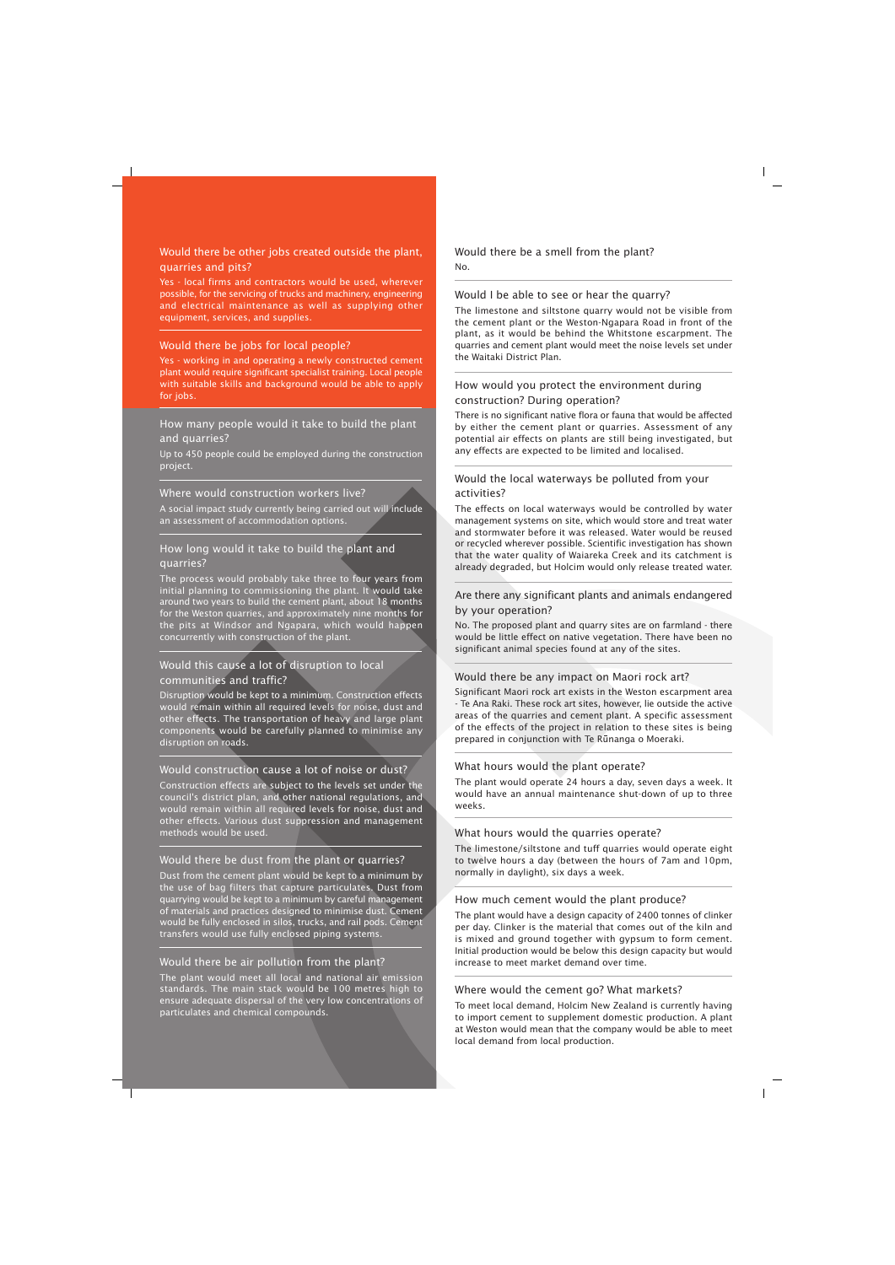# Would there be other jobs created outside the plant, quarries and pits?

Yes - local firms and contractors would be used, wherever possible, for the servicing of trucks and machinery, engineering and electrical maintenance as well as supplying other equipment, services, and supplies.

# Would there be jobs for local people?

Yes - working in and operating a newly constructed cement plant would require significant specialist training. Local people with suitable skills and background would be able to apply for jobs.

# How many people would it take to build the plant and quarries?

Up to 450 people could be employed during the construction project.

# Where would construction workers live?

A social impact study currently being carried out will include an assessment of accommodation options.

# How long would it take to build the plant and quarries?

The process would probably take three to four years from initial planning to commissioning the plant. It would take around two years to build the cement plant, about 18 months for the Weston quarries, and approximately nine months for the pits at Windsor and Ngapara, which would happen concurrently with construction of the plant.

# Would this cause a lot of disruption to local communities and traffic?

Disruption would be kept to a minimum. Construction effects would remain within all required levels for noise, dust and other effects. The transportation of heavy and large plant components would be carefully planned to minimise any disruption on roads.

# Would construction cause a lot of noise or dust?

Construction effects are subject to the levels set under the council's district plan, and other national regulations, and would remain within all required levels for noise, dust and other effects. Various dust suppression and management methods would be used.

# Would there be dust from the plant or quarries?

Dust from the cement plant would be kept to a minimum by the use of bag filters that capture particulates. Dust from quarrying would be kept to a minimum by careful management of materials and practices designed to minimise dust. Cement would be fully enclosed in silos, trucks, and rail pods. Cement transfers would use fully enclosed piping systems.

# Would there be air pollution from the plant?

The plant would meet all local and national air emission standards. The main stack would be 100 metres high to ensure adequate dispersal of the very low concentrations of particulates and chemical compounds.

# Would there be a smell from the plant? No.

# Would I be able to see or hear the quarry?

The limestone and siltstone quarry would not be visible from the cement plant or the Weston-Ngapara Road in front of the plant, as it would be behind the Whitstone escarpment. The quarries and cement plant would meet the noise levels set under the Waitaki District Plan.

# How would you protect the environment during construction? During operation?

There is no significant native flora or fauna that would be affected by either the cement plant or quarries. Assessment of any potential air effects on plants are still being investigated, but any effects are expected to be limited and localised.

# Would the local waterways be polluted from your activities?

The effects on local waterways would be controlled by water management systems on site, which would store and treat water and stormwater before it was released. Water would be reused or recycled wherever possible. Scientific investigation has shown that the water quality of Waiareka Creek and its catchment is already degraded, but Holcim would only release treated water.

# Are there any significant plants and animals endangered by your operation?

No. The proposed plant and quarry sites are on farmland - there would be little effect on native vegetation. There have been no significant animal species found at any of the sites.

# Would there be any impact on Maori rock art?

Significant Maori rock art exists in the Weston escarpment area - Te Ana Raki. These rock art sites, however, lie outside the active areas of the quarries and cement plant. A specific assessment of the effects of the project in relation to these sites is being prepared in conjunction with Te Runanga o Moeraki.

# What hours would the plant operate?

The plant would operate 24 hours a day, seven days a week. It would have an annual maintenance shut-down of up to three weeks.

# What hours would the quarries operate?

The limestone/siltstone and tuff quarries would operate eight to twelve hours a day (between the hours of 7am and 10pm, normally in daylight), six days a week.

#### How much cement would the plant produce?

The plant would have a design capacity of 2400 tonnes of clinker per day. Clinker is the material that comes out of the kiln and is mixed and ground together with gypsum to form cement. Initial production would be below this design capacity but would increase to meet market demand over time.

# Where would the cement go? What markets?

To meet local demand, Holcim New Zealand is currently having to import cement to supplement domestic production. A plant at Weston would mean that the company would be able to meet local demand from local production.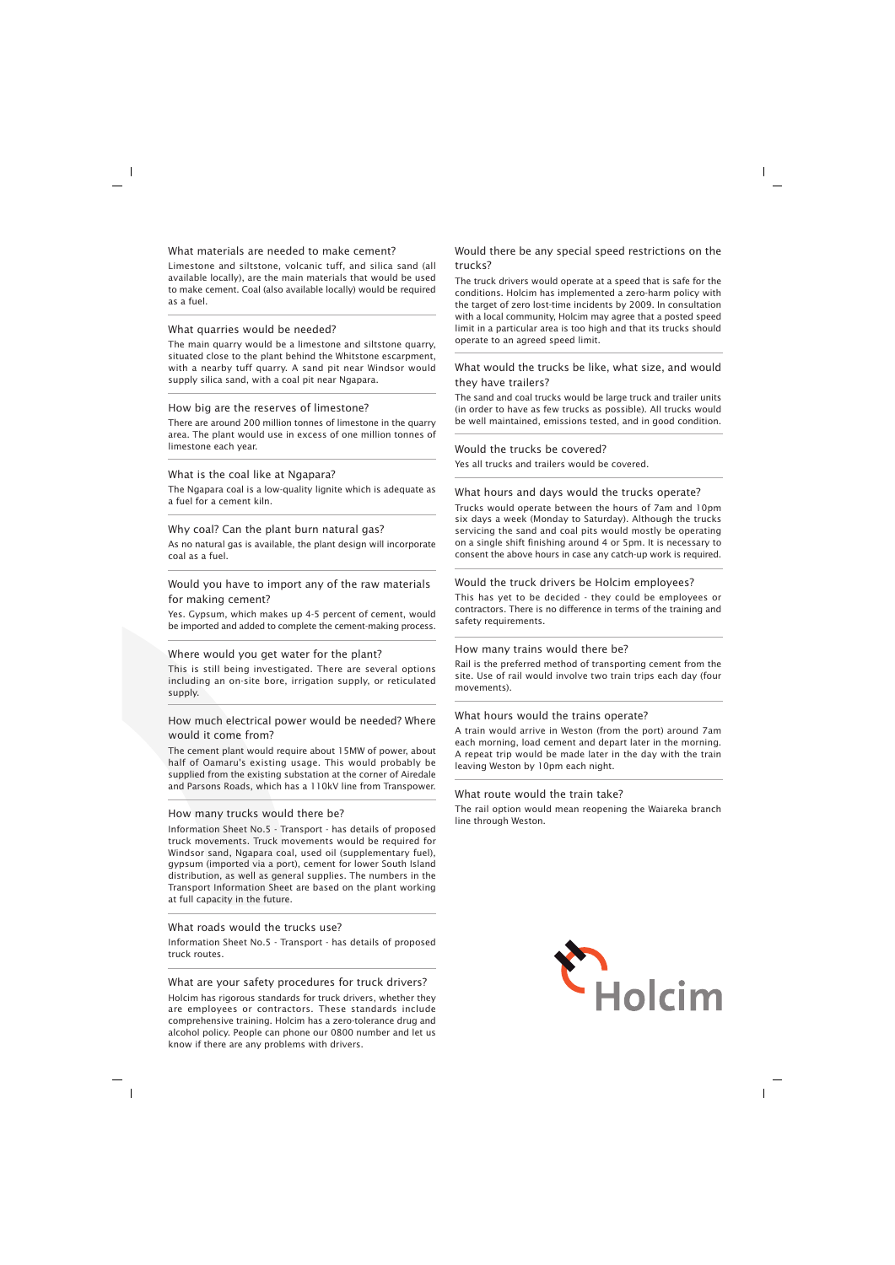#### What materials are needed to make cement?

Limestone and siltstone, volcanic tuff, and silica sand (all available locally), are the main materials that would be used to make cement. Coal (also available locally) would be required as a fuel.

#### What quarries would be needed?

The main quarry would be a limestone and siltstone quarry, situated close to the plant behind the Whitstone escarpment, with a nearby tuff quarry. A sand pit near Windsor would supply silica sand, with a coal pit near Ngapara.

#### How big are the reserves of limestone?

There are around 200 million tonnes of limestone in the quarry area. The plant would use in excess of one million tonnes of limestone each year.

#### What is the coal like at Ngapara?

The Ngapara coal is a low-quality lignite which is adequate as a fuel for a cement kiln.

#### Why coal? Can the plant burn natural gas?

As no natural gas is available, the plant design will incorporate coal as a fuel.

# Would you have to import any of the raw materials for making cement?

Yes. Gypsum, which makes up 4-5 percent of cement, would be imported and added to complete the cement-making process.

#### Where would you get water for the plant?

This is still being investigated. There are several options including an on-site bore, irrigation supply, or reticulated supply.

# How much electrical power would be needed? Where would it come from?

The cement plant would require about 15MW of power, about half of Oamaru's existing usage. This would probably be supplied from the existing substation at the corner of Airedale and Parsons Roads, which has a 110kV line from Transpower.

#### How many trucks would there be?

Information Sheet No.5 - Transport - has details of proposed truck movements. Truck movements would be required for Windsor sand, Ngapara coal, used oil (supplementary fuel), gypsum (imported via a port), cement for lower South Island distribution, as well as general supplies. The numbers in the Transport Information Sheet are based on the plant working at full capacity in the future.

# What roads would the trucks use?

Information Sheet No.5 - Transport - has details of proposed truck routes.

#### What are your safety procedures for truck drivers?

Holcim has rigorous standards for truck drivers, whether they are employees or contractors. These standards include comprehensive training. Holcim has a zero-tolerance drug and alcohol policy. People can phone our 0800 number and let us know if there are any problems with drivers.

# Would there be any special speed restrictions on the trucks?

The truck drivers would operate at a speed that is safe for the conditions. Holcim has implemented a zero-harm policy with the target of zero lost-time incidents by 2009. In consultation with a local community, Holcim may agree that a posted speed limit in a particular area is too high and that its trucks should operate to an agreed speed limit.

# What would the trucks be like, what size, and would they have trailers?

The sand and coal trucks would be large truck and trailer units (in order to have as few trucks as possible). All trucks would be well maintained, emissions tested, and in good condition.

#### Would the trucks be covered?

Yes all trucks and trailers would be covered.

# What hours and days would the trucks operate?

Trucks would operate between the hours of 7am and 10pm six days a week (Monday to Saturday). Although the trucks servicing the sand and coal pits would mostly be operating on a single shift finishing around 4 or 5pm. It is necessary to consent the above hours in case any catch-up work is required.

#### Would the truck drivers be Holcim employees?

This has yet to be decided - they could be employees or contractors. There is no difference in terms of the training and safety requirements.

#### How many trains would there be?

Rail is the preferred method of transporting cement from the site. Use of rail would involve two train trips each day (four movements).

#### What hours would the trains operate?

A train would arrive in Weston (from the port) around 7am each morning, load cement and depart later in the morning. A repeat trip would be made later in the day with the train leaving Weston by 10pm each night.

#### What route would the train take?

The rail option would mean reopening the Waiareka branch line through Weston.